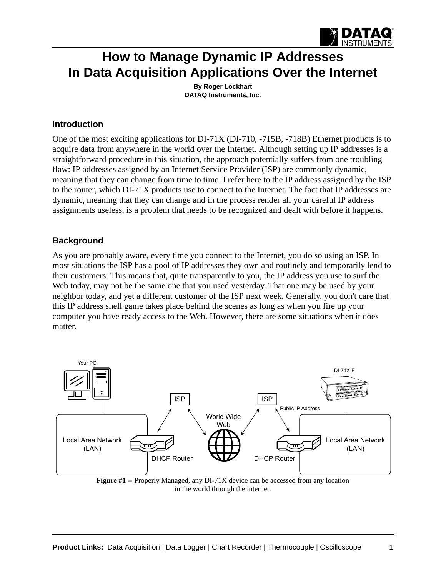

# **How to Manage Dynamic IP Addresses In Data Acquisition Applications Over the Internet**

**By Roger Lockhart [DATAQ Instruments, Inc.](http://www.dataq.com)**

#### **Introduction**

One of the most exciting applications for DI-71X (DI-710, -715B, -718B) Ethernet products is to acquire data from anywhere in the world over the Internet. Although setting up IP addresses is a straightforward procedure in this situation, the approach potentially suffers from one troubling flaw: IP addresses assigned by an Internet Service Provider (ISP) are commonly dynamic, meaning that they can change from time to time. I refer here to the IP address assigned by the ISP to the router, which DI-71X products use to connect to the Internet. The fact that IP addresses are dynamic, meaning that they can change and in the process render all your careful IP address assignments useless, is a problem that needs to be recognized and dealt with before it happens.

#### **Background**

As you are probably aware, every time you connect to the Internet, you do so using an ISP. In most situations the ISP has a pool of IP addresses they own and routinely and temporarily lend to their customers. This means that, quite transparently to you, the IP address you use to surf the Web today, may not be the same one that you used yesterday. That one may be used by your neighbor today, and yet a different customer of the ISP next week. Generally, you don't care that this IP address shell game takes place behind the scenes as long as when you fire up your computer you have ready access to the Web. However, there are some situations when it does matter.



**Figure #1 --** Properly Managed, any DI-71X device can be accessed from any location in the world through the internet.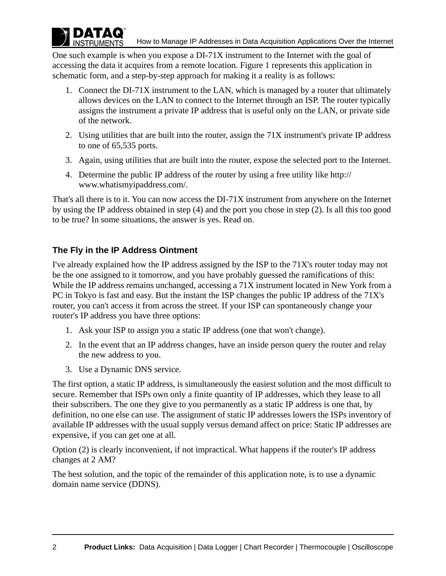One such example is when you expose a DI-71X instrument to the Internet with the goal of accessing the data it acquires from a remote location. Figure 1 represents this application in schematic form, and a step-by-step approach for making it a reality is as follows:

- 1. Connect the DI-71X instrument to the LAN, which is managed by a router that ultimately allows devices on the LAN to connect to the Internet through an ISP. The router typically assigns the instrument a private IP address that is useful only on the LAN, or private side of the network.
- 2. Using utilities that are built into the router, assign the 71X instrument's private IP address to one of 65,535 ports.
- 3. Again, using utilities that are built into the router, expose the selected port to the Internet.
- 4. [Determine the public IP address of the router by using a free utility like http://](http://www.whatismyipaddress.com/) www.whatismyipaddress.com/.

That's all there is to it. You can now access the DI-71X instrument from anywhere on the Internet by using the IP address obtained in step (4) and the port you chose in step (2). Is all this too good to be true? In some situations, the answer is yes. Read on.

# **The Fly in the IP Address Ointment**

DATAO **INSTRUMENTS** 

I've already explained how the IP address assigned by the ISP to the 71X's router today may not be the one assigned to it tomorrow, and you have probably guessed the ramifications of this: While the IP address remains unchanged, accessing a 71X instrument located in New York from a PC in Tokyo is fast and easy. But the instant the ISP changes the public IP address of the 71X's router, you can't access it from across the street. If your ISP can spontaneously change your router's IP address you have three options:

- 1. Ask your ISP to assign you a static IP address (one that won't change).
- 2. In the event that an IP address changes, have an inside person query the router and relay the new address to you.
- 3. Use a Dynamic DNS service.

The first option, a static IP address, is simultaneously the easiest solution and the most difficult to secure. Remember that ISPs own only a finite quantity of IP addresses, which they lease to all their subscribers. The one they give to you permanently as a static IP address is one that, by definition, no one else can use. The assignment of static IP addresses lowers the ISPs inventory of available IP addresses with the usual supply versus demand affect on price: Static IP addresses are expensive, if you can get one at all.

Option (2) is clearly inconvenient, if not impractical. What happens if the router's IP address changes at 2 AM?

The best solution, and the topic of the remainder of this application note, is to use a dynamic domain name service (DDNS).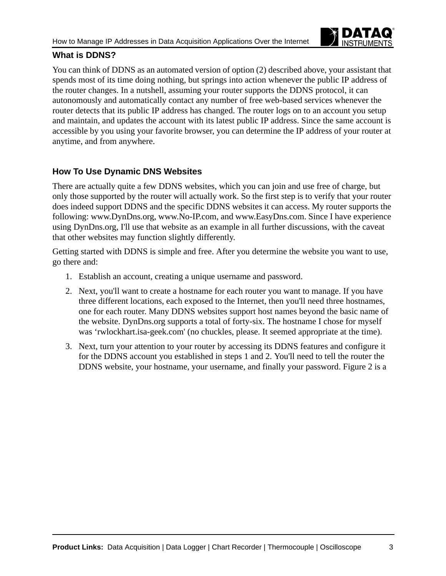

## **What is DDNS?**

You can think of DDNS as an automated version of option (2) described above, your assistant that spends most of its time doing nothing, but springs into action whenever the public IP address of the router changes. In a nutshell, assuming your router supports the DDNS protocol, it can autonomously and automatically contact any number of free web-based services whenever the router detects that its public IP address has changed. The router logs on to an account you setup and maintain, and updates the account with its latest public IP address. Since the same account is accessible by you using your favorite browser, you can determine the IP address of your router at anytime, and from anywhere.

# **How To Use Dynamic DNS Websites**

There are actually quite a few DDNS websites, which you can join and use free of charge, but only those supported by the router will actually work. So the first step is to verify that your router [does indeed support DDNS and the specific DDNS websites it can access. My router supports the](http://www.DynDns.org)  [following: www.DynDns.org,](http://www.DynDns.org) [www.No-IP.com, and](http://www.No-IP.com) [www.EasyDns.com. Since I have experience](http://www.EasyDns.com)  [using DynDns.org, I'll use that website as an example in all further discussions, with the caveat](http://www.EasyDns.com)  that other websites may function slightly differently.

Getting started with DDNS is simple and free. After you determine the website you want to use, go there and:

- 1. Establish an account, creating a unique username and password.
- 2. Next, you'll want to create a hostname for each router you want to manage. If you have three different locations, each exposed to the Internet, then you'll need three hostnames, one for each router. Many DDNS websites support host names beyond the basic name of the website. DynDns.org supports a total of forty-six. The hostname I chose for myself was 'rwlockhart.isa-geek.com' (no chuckles, please. It seemed appropriate at the time).
- 3. Next, turn your attention to your router by accessing its DDNS features and configure it for the DDNS account you established in steps 1 and 2. You'll need to tell the router the DDNS website, your hostname, your username, and finally your password. Figure 2 is a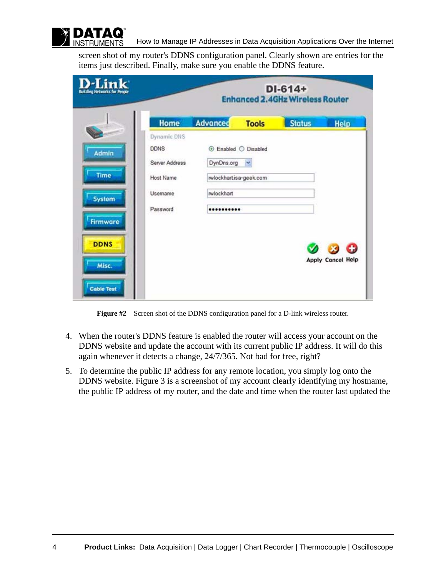

screen shot of my router's DDNS configuration panel. Clearly shown are entries for the items just described. Finally, make sure you enable the DDNS feature.

| .ink<br><b>Building Networks for People</b> |                                              | $DI-614+$<br><b>Enhanced 2.4GHz Wireless Router</b> |                        |               |                          |  |  |
|---------------------------------------------|----------------------------------------------|-----------------------------------------------------|------------------------|---------------|--------------------------|--|--|
|                                             | Home                                         | <b>Advanced</b>                                     | <b>Tools</b>           | <b>Status</b> | <b>Help</b>              |  |  |
| Admin                                       | Dynamic DNS<br><b>DDNS</b><br>Server Address | DynDns.org                                          | ⊙ Enabled ○ Disabled   |               |                          |  |  |
| Time                                        | Host Name                                    |                                                     | rwlockhartisa-geek.com |               |                          |  |  |
| System                                      | Usemame                                      | rwlockhart                                          |                        |               |                          |  |  |
| <b>Firmware</b>                             | Password                                     |                                                     |                        |               |                          |  |  |
| <b>DDNS</b>                                 |                                              |                                                     |                        |               | <b>Apply Cancel Help</b> |  |  |
| Misc.<br><b>Cable Test</b>                  |                                              |                                                     |                        |               |                          |  |  |

**Figure #2** – Screen shot of the DDNS configuration panel for a D-link wireless router.

- 4. When the router's DDNS feature is enabled the router will access your account on the DDNS website and update the account with its current public IP address. It will do this again whenever it detects a change, 24/7/365. Not bad for free, right?
- 5. To determine the public IP address for any remote location, you simply log onto the DDNS website. Figure 3 is a screenshot of my account clearly identifying my hostname, the public IP address of my router, and the date and time when the router last updated the